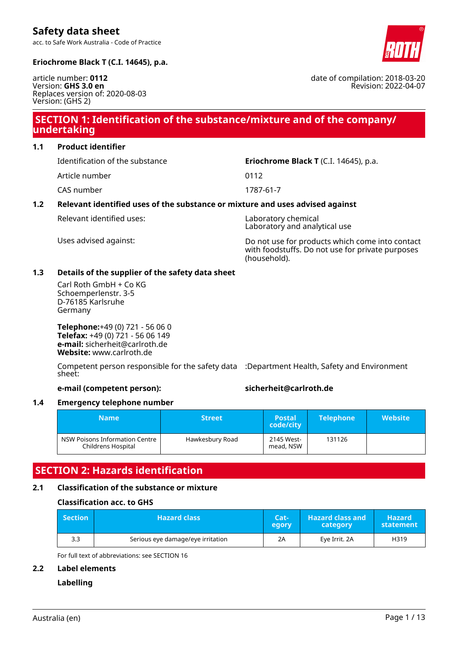acc. to Safe Work Australia - Code of Practice



date of compilation: 2018-03-20

Revision: 2022-04-07

**Eriochrome Black T (C.I. 14645), p.a.**

article number: **0112** Version: **GHS 3.0 en** Replaces version of: 2020-08-03 Version: (GHS 2)

## **SECTION 1: Identification of the substance/mixture and of the company/ undertaking**

**1.1 Product identifier**

Article number 0112

CAS number 1787-61-7

## Identification of the substance **Eriochrome Black T** (C.I. 14645), p.a.

### **1.2 Relevant identified uses of the substance or mixture and uses advised against**

Relevant identified uses: Laboratory chemical

Laboratory and analytical use

Uses advised against: Do not use for products which come into contact with foodstuffs. Do not use for private purposes (household).

### **1.3 Details of the supplier of the safety data sheet**

Carl Roth GmbH + Co KG Schoemperlenstr. 3-5 D-76185 Karlsruhe Germany

**Telephone:**+49 (0) 721 - 56 06 0 **Telefax:** +49 (0) 721 - 56 06 149 **e-mail:** sicherheit@carlroth.de **Website:** www.carlroth.de

Competent person responsible for the safety data :Department Health, Safety and Environment sheet:

**e-mail (competent person): sicherheit@carlroth.de**

### **1.4 Emergency telephone number**

| <b>Name</b>                                          | <b>Street</b>   | <b>Postal</b><br>code/city | <b>Telephone</b> | <b>Website</b> |
|------------------------------------------------------|-----------------|----------------------------|------------------|----------------|
| NSW Poisons Information Centre<br>Childrens Hospital | Hawkesbury Road | 2145 West-<br>mead, NSW    | 131126           |                |

## **SECTION 2: Hazards identification**

### **2.1 Classification of the substance or mixture**

### **Classification acc. to GHS**

| <b>Section</b> | <b>Hazard class</b>               | Cat <sub>1</sub><br>egory | <b>Hazard class and</b><br>category | <b>Hazard</b><br>statement |
|----------------|-----------------------------------|---------------------------|-------------------------------------|----------------------------|
| 3.3            | Serious eye damage/eye irritation |                           | Eve Irrit, 2A                       | H319                       |

For full text of abbreviations: see SECTION 16

#### **2.2 Label elements**

### **Labelling**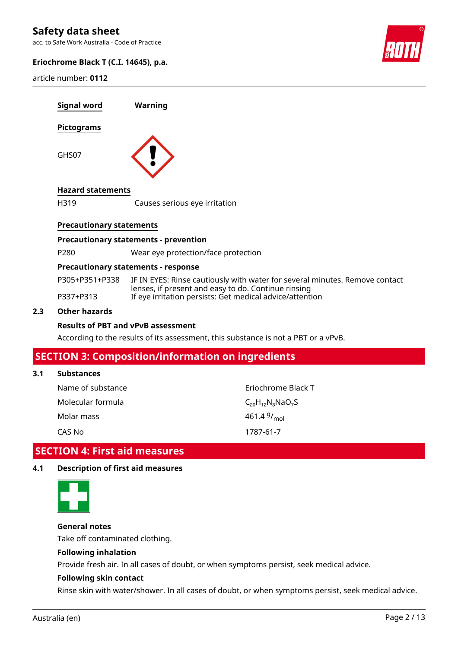acc. to Safe Work Australia - Code of Practice

#### **Eriochrome Black T (C.I. 14645), p.a.**

article number: **0112**



| Signal word                     | Warning                                      |
|---------------------------------|----------------------------------------------|
| Pictograms                      |                                              |
| GHS07                           |                                              |
| <b>Hazard statements</b>        |                                              |
| H319                            | Causes serious eye irritation                |
| <b>Precautionary statements</b> |                                              |
|                                 | <b>Precautionary statements - prevention</b> |

P280 Wear eye protection/face protection

#### **Precautionary statements - response**

| P305+P351+P338 | IF IN EYES: Rinse cautiously with water for several minutes. Remove contact                                     |
|----------------|-----------------------------------------------------------------------------------------------------------------|
| P337+P313      | lenses, if present and easy to do. Continue rinsing<br>If eye irritation persists: Get medical advice/attention |

#### **2.3 Other hazards**

#### **Results of PBT and vPvB assessment**

According to the results of its assessment, this substance is not a PBT or a vPvB.

## **SECTION 3: Composition/information on ingredients**

#### **3.1 Substances**

| Name of substance | Eriochrome Black T      |
|-------------------|-------------------------|
| Molecular formula | $C_{20}H_{12}N_3NaO_7S$ |
| Molar mass        | 461.4 $9/_{\text{mol}}$ |
| CAS No            | 1787-61-7               |

# **SECTION 4: First aid measures**

#### **4.1 Description of first aid measures**



**General notes**

Take off contaminated clothing.

#### **Following inhalation**

Provide fresh air. In all cases of doubt, or when symptoms persist, seek medical advice.

#### **Following skin contact**

Rinse skin with water/shower. In all cases of doubt, or when symptoms persist, seek medical advice.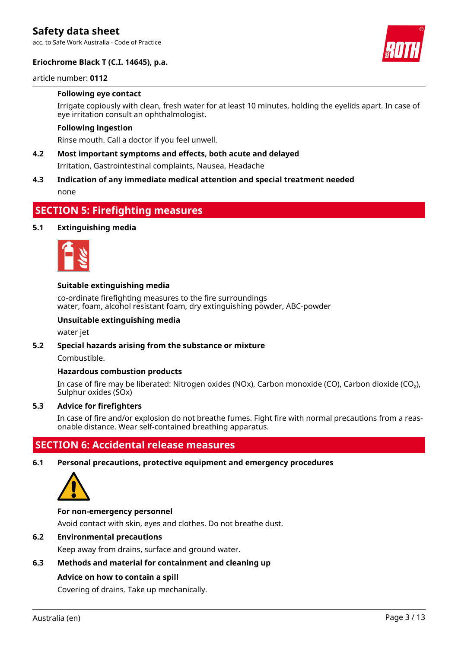acc. to Safe Work Australia - Code of Practice

#### **Eriochrome Black T (C.I. 14645), p.a.**



#### article number: **0112**

#### **Following eye contact**

Irrigate copiously with clean, fresh water for at least 10 minutes, holding the eyelids apart. In case of eye irritation consult an ophthalmologist.

#### **Following ingestion**

Rinse mouth. Call a doctor if you feel unwell.

#### **4.2 Most important symptoms and effects, both acute and delayed**

Irritation, Gastrointestinal complaints, Nausea, Headache

### **4.3 Indication of any immediate medical attention and special treatment needed** none

## **SECTION 5: Firefighting measures**

#### **5.1 Extinguishing media**



#### **Suitable extinguishing media**

co-ordinate firefighting measures to the fire surroundings water, foam, alcohol resistant foam, dry extinguishing powder, ABC-powder

#### **Unsuitable extinguishing media**

water jet

#### **5.2 Special hazards arising from the substance or mixture**

Combustible.

#### **Hazardous combustion products**

In case of fire may be liberated: Nitrogen oxides (NOx), Carbon monoxide (CO), Carbon dioxide (CO₂), Sulphur oxides (SOx)

#### **5.3 Advice for firefighters**

In case of fire and/or explosion do not breathe fumes. Fight fire with normal precautions from a reasonable distance. Wear self-contained breathing apparatus.

## **SECTION 6: Accidental release measures**

**6.1 Personal precautions, protective equipment and emergency procedures**



#### **For non-emergency personnel**

Avoid contact with skin, eyes and clothes. Do not breathe dust.

#### **6.2 Environmental precautions**

Keep away from drains, surface and ground water.

#### **6.3 Methods and material for containment and cleaning up**

#### **Advice on how to contain a spill**

Covering of drains. Take up mechanically.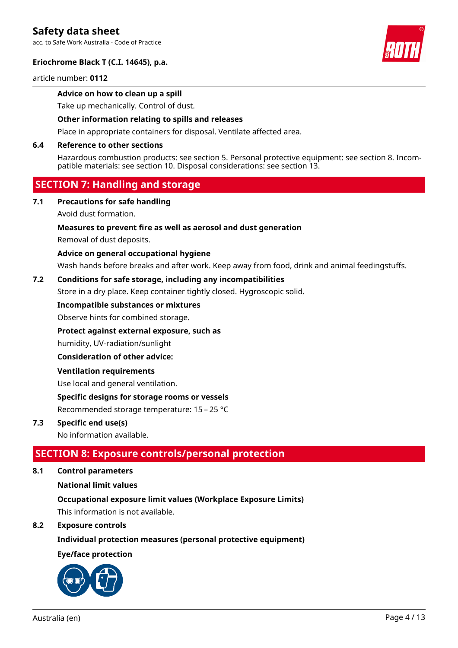acc. to Safe Work Australia - Code of Practice

#### **Eriochrome Black T (C.I. 14645), p.a.**

article number: **0112**

#### **Advice on how to clean up a spill**

Take up mechanically. Control of dust.

#### **Other information relating to spills and releases**

Place in appropriate containers for disposal. Ventilate affected area.

#### **6.4 Reference to other sections**

Hazardous combustion products: see section 5. Personal protective equipment: see section 8. Incompatible materials: see section 10. Disposal considerations: see section 13.

## **SECTION 7: Handling and storage**

#### **7.1 Precautions for safe handling**

#### Avoid dust formation.

#### **Measures to prevent fire as well as aerosol and dust generation**

Removal of dust deposits.

#### **Advice on general occupational hygiene**

Wash hands before breaks and after work. Keep away from food, drink and animal feedingstuffs.

#### **7.2 Conditions for safe storage, including any incompatibilities**

Store in a dry place. Keep container tightly closed. Hygroscopic solid.

#### **Incompatible substances or mixtures**

Observe hints for combined storage.

#### **Protect against external exposure, such as**

humidity, UV-radiation/sunlight

#### **Consideration of other advice:**

#### **Ventilation requirements**

Use local and general ventilation.

#### **Specific designs for storage rooms or vessels**

Recommended storage temperature: 15 – 25 °C

#### **7.3 Specific end use(s)**

No information available.

## **SECTION 8: Exposure controls/personal protection**

**8.1 Control parameters**

#### **National limit values**

#### **Occupational exposure limit values (Workplace Exposure Limits)**

This information is not available.

#### **8.2 Exposure controls**

#### **Individual protection measures (personal protective equipment)**

#### **Eye/face protection**



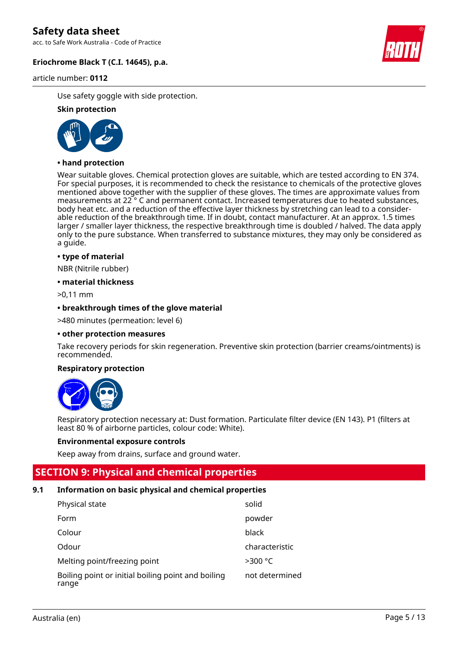acc. to Safe Work Australia - Code of Practice

#### **Eriochrome Black T (C.I. 14645), p.a.**

article number: **0112**



Use safety goggle with side protection.

#### **Skin protection**



#### **• hand protection**

Wear suitable gloves. Chemical protection gloves are suitable, which are tested according to EN 374. For special purposes, it is recommended to check the resistance to chemicals of the protective gloves mentioned above together with the supplier of these gloves. The times are approximate values from measurements at 22 ° C and permanent contact. Increased temperatures due to heated substances, body heat etc. and a reduction of the effective layer thickness by stretching can lead to a considerable reduction of the breakthrough time. If in doubt, contact manufacturer. At an approx. 1.5 times larger / smaller layer thickness, the respective breakthrough time is doubled / halved. The data apply only to the pure substance. When transferred to substance mixtures, they may only be considered as a guide.

#### **• type of material**

NBR (Nitrile rubber)

#### **• material thickness**

>0,11 mm

#### **• breakthrough times of the glove material**

>480 minutes (permeation: level 6)

#### **• other protection measures**

Take recovery periods for skin regeneration. Preventive skin protection (barrier creams/ointments) is recommended.

#### **Respiratory protection**



Respiratory protection necessary at: Dust formation. Particulate filter device (EN 143). P1 (filters at least 80 % of airborne particles, colour code: White).

#### **Environmental exposure controls**

Keep away from drains, surface and ground water.

## **SECTION 9: Physical and chemical properties**

#### **9.1 Information on basic physical and chemical properties**

| Physical state                                              | solid          |
|-------------------------------------------------------------|----------------|
| Form                                                        | powder         |
| Colour                                                      | black          |
| Odour                                                       | characteristic |
| Melting point/freezing point                                | $>300$ °C      |
| Boiling point or initial boiling point and boiling<br>range | not determined |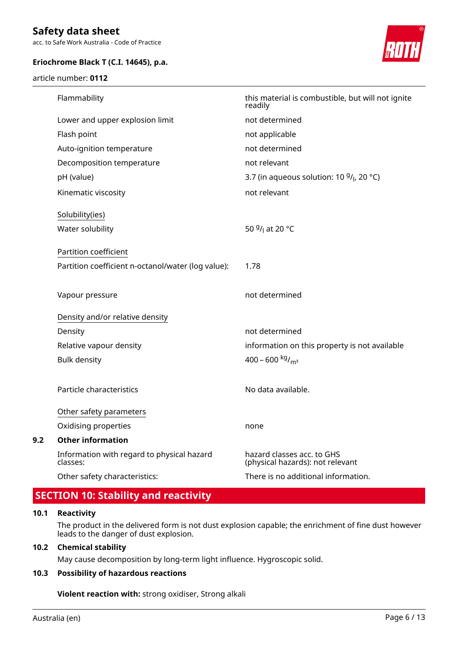acc. to Safe Work Australia - Code of Practice

#### **Eriochrome Black T (C.I. 14645), p.a.**

article number: **0112**



|     | Flammability                                           | this material is combustible, but will not ignite                 |  |
|-----|--------------------------------------------------------|-------------------------------------------------------------------|--|
|     |                                                        | readily                                                           |  |
|     | Lower and upper explosion limit                        | not determined                                                    |  |
|     | Flash point                                            | not applicable                                                    |  |
|     | Auto-ignition temperature                              | not determined                                                    |  |
|     | Decomposition temperature                              | not relevant                                                      |  |
|     | pH (value)                                             | 3.7 (in aqueous solution: 10 <sup>g</sup> / <sub>l</sub> , 20 °C) |  |
|     | Kinematic viscosity                                    | not relevant                                                      |  |
|     | Solubility(ies)                                        |                                                                   |  |
|     | Water solubility                                       | 50 <sup>g</sup> / <sub>l</sub> at 20 °C                           |  |
|     | Partition coefficient                                  |                                                                   |  |
|     | Partition coefficient n-octanol/water (log value):     | 1.78                                                              |  |
|     | Vapour pressure                                        | not determined                                                    |  |
|     | Density and/or relative density                        |                                                                   |  |
|     | Density                                                | not determined                                                    |  |
|     | Relative vapour density                                | information on this property is not available                     |  |
|     | <b>Bulk density</b>                                    | 400 - 600 kg/m <sup>3</sup>                                       |  |
|     | Particle characteristics                               | No data available.                                                |  |
|     | Other safety parameters                                |                                                                   |  |
|     | Oxidising properties                                   | none                                                              |  |
| 9.2 | <b>Other information</b>                               |                                                                   |  |
|     | Information with regard to physical hazard<br>classes: | hazard classes acc. to GHS<br>(physical hazards): not relevant    |  |
|     | Other safety characteristics:                          | There is no additional information.                               |  |

# **SECTION 10: Stability and reactivity**

#### **10.1 Reactivity**

The product in the delivered form is not dust explosion capable; the enrichment of fine dust however leads to the danger of dust explosion.

#### **10.2 Chemical stability**

May cause decomposition by long-term light influence. Hygroscopic solid.

#### **10.3 Possibility of hazardous reactions**

**Violent reaction with:** strong oxidiser, Strong alkali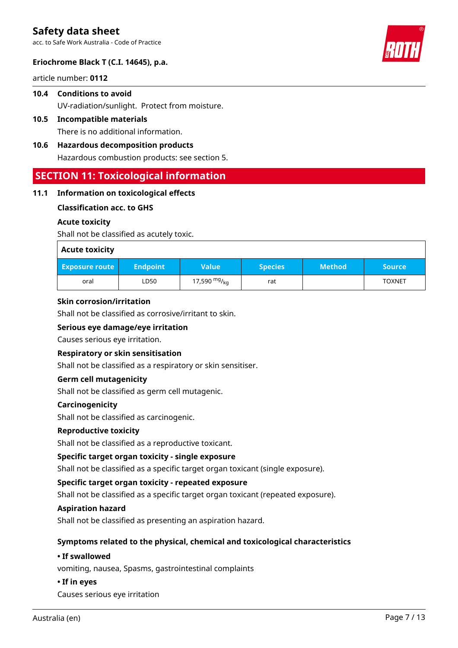acc. to Safe Work Australia - Code of Practice

#### **Eriochrome Black T (C.I. 14645), p.a.**

article number: **0112**

- **10.4 Conditions to avoid** UV-radiation/sunlight. Protect from moisture.
- **10.5 Incompatible materials** There is no additional information.
- **10.6 Hazardous decomposition products** Hazardous combustion products: see section 5.

## **SECTION 11: Toxicological information**

#### **11.1 Information on toxicological effects**

#### **Classification acc. to GHS**

#### **Acute toxicity**

Shall not be classified as acutely toxic.

| <b>Acute toxicity</b> |                 |                   |                |               |               |
|-----------------------|-----------------|-------------------|----------------|---------------|---------------|
| <b>Exposure route</b> | <b>Endpoint</b> | <b>Value</b>      | <b>Species</b> | <b>Method</b> | <b>Source</b> |
| oral                  | LD50            | 17,590 $mg/_{kq}$ | rat            |               | <b>TOXNET</b> |

#### **Skin corrosion/irritation**

Shall not be classified as corrosive/irritant to skin.

#### **Serious eye damage/eye irritation**

Causes serious eye irritation.

#### **Respiratory or skin sensitisation**

Shall not be classified as a respiratory or skin sensitiser.

#### **Germ cell mutagenicity**

Shall not be classified as germ cell mutagenic.

#### **Carcinogenicity**

Shall not be classified as carcinogenic.

#### **Reproductive toxicity**

Shall not be classified as a reproductive toxicant.

#### **Specific target organ toxicity - single exposure**

Shall not be classified as a specific target organ toxicant (single exposure).

#### **Specific target organ toxicity - repeated exposure**

Shall not be classified as a specific target organ toxicant (repeated exposure).

#### **Aspiration hazard**

Shall not be classified as presenting an aspiration hazard.

#### **Symptoms related to the physical, chemical and toxicological characteristics**

#### **• If swallowed**

vomiting, nausea, Spasms, gastrointestinal complaints

#### **• If in eyes**

Causes serious eye irritation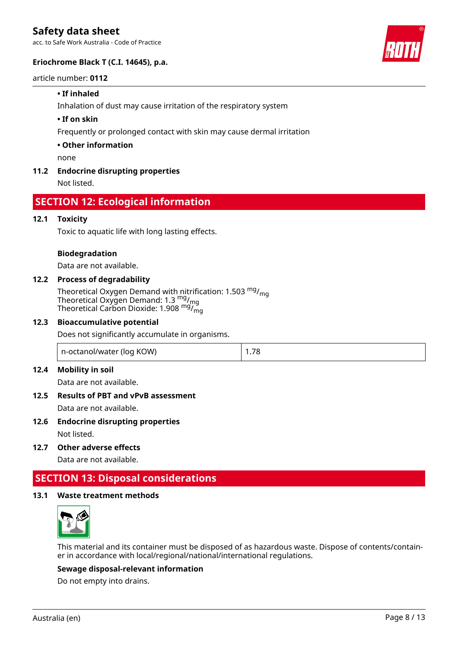acc. to Safe Work Australia - Code of Practice

#### **Eriochrome Black T (C.I. 14645), p.a.**

#### article number: **0112**

#### **• If inhaled**

Inhalation of dust may cause irritation of the respiratory system

#### **• If on skin**

Frequently or prolonged contact with skin may cause dermal irritation

#### **• Other information**

none

#### **11.2 Endocrine disrupting properties**

Not listed.

## **SECTION 12: Ecological information**

#### **12.1 Toxicity**

Toxic to aquatic life with long lasting effects.

#### **Biodegradation**

Data are not available.

#### **12.2 Process of degradability**

Theoretical Oxygen Demand with nitrification: 1.503 <sup>mg</sup>/<sub>mg</sub> Theoretical Oxygen Demand: 1.3  $\frac{mg}{mg}$ Theoretical Carbon Dioxide: 1.908 <sup>mg</sup>/<sub>mg</sub>

#### **12.3 Bioaccumulative potential**

Does not significantly accumulate in organisms.

| n-octanol/water (log KOW) | $\vert$ 1.78 |
|---------------------------|--------------|
|                           |              |

#### **12.4 Mobility in soil**

Data are not available.

# **12.5 Results of PBT and vPvB assessment**

Data are not available.

**12.6 Endocrine disrupting properties**

Not listed.

**12.7 Other adverse effects**

Data are not available.

## **SECTION 13: Disposal considerations**

#### **13.1 Waste treatment methods**



This material and its container must be disposed of as hazardous waste. Dispose of contents/container in accordance with local/regional/national/international regulations.

#### **Sewage disposal-relevant information**

Do not empty into drains.

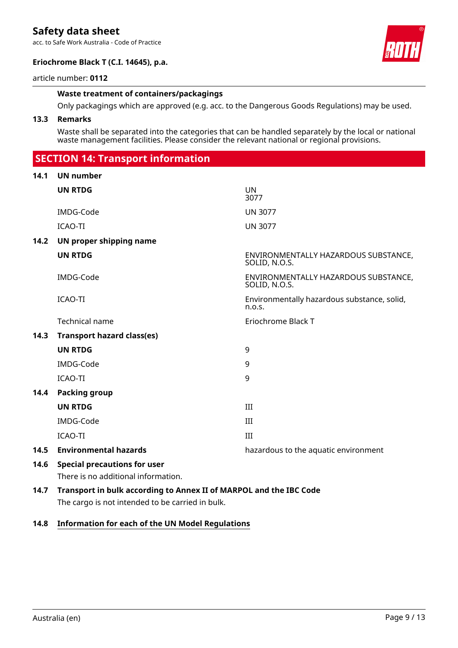acc. to Safe Work Australia - Code of Practice

#### **Eriochrome Black T (C.I. 14645), p.a.**



article number: **0112**

#### **Waste treatment of containers/packagings**

Only packagings which are approved (e.g. acc. to the Dangerous Goods Regulations) may be used.

#### **13.3 Remarks**

Waste shall be separated into the categories that can be handled separately by the local or national waste management facilities. Please consider the relevant national or regional provisions.

## **SECTION 14: Transport information**

| 14.1 | <b>UN number</b>                                                                                                       |                                                       |
|------|------------------------------------------------------------------------------------------------------------------------|-------------------------------------------------------|
|      | <b>UN RTDG</b>                                                                                                         | <b>UN</b><br>3077                                     |
|      | IMDG-Code                                                                                                              | <b>UN 3077</b>                                        |
|      | ICAO-TI                                                                                                                | <b>UN 3077</b>                                        |
| 14.2 | UN proper shipping name                                                                                                |                                                       |
|      | <b>UN RTDG</b>                                                                                                         | ENVIRONMENTALLY HAZARDOUS SUBSTANCE,<br>SOLID, N.O.S. |
|      | IMDG-Code                                                                                                              | ENVIRONMENTALLY HAZARDOUS SUBSTANCE,<br>SOLID, N.O.S. |
|      | <b>ICAO-TI</b>                                                                                                         | Environmentally hazardous substance, solid,<br>n.o.s. |
|      | Technical name                                                                                                         | Eriochrome Black T                                    |
| 14.3 | <b>Transport hazard class(es)</b>                                                                                      |                                                       |
|      | <b>UN RTDG</b>                                                                                                         | 9                                                     |
|      | IMDG-Code                                                                                                              | 9                                                     |
|      | <b>ICAO-TI</b>                                                                                                         | 9                                                     |
| 14.4 | Packing group                                                                                                          |                                                       |
|      | <b>UN RTDG</b>                                                                                                         | III                                                   |
|      | IMDG-Code                                                                                                              | III                                                   |
|      | <b>ICAO-TI</b>                                                                                                         | III                                                   |
| 14.5 | <b>Environmental hazards</b>                                                                                           | hazardous to the aquatic environment                  |
| 14.6 | <b>Special precautions for user</b><br>There is no additional information.                                             |                                                       |
| 14.7 | Transport in bulk according to Annex II of MARPOL and the IBC Code<br>The cargo is not intended to be carried in bulk. |                                                       |

#### **14.8 Information for each of the UN Model Regulations**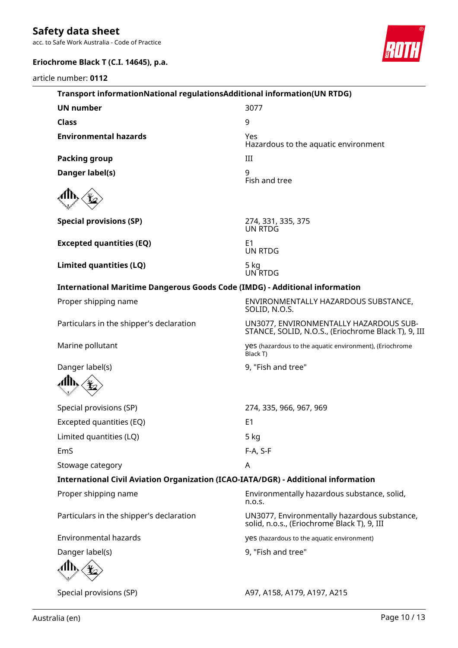acc. to Safe Work Australia - Code of Practice

# **Eriochrome Black T (C.I. 14645), p.a.**

article number: **0112**



| Transport informationNational regulationsAdditional information(UN RTDG)           |                                                                                               |
|------------------------------------------------------------------------------------|-----------------------------------------------------------------------------------------------|
| <b>UN number</b>                                                                   | 3077                                                                                          |
| <b>Class</b>                                                                       | 9                                                                                             |
| <b>Environmental hazards</b>                                                       | Yes<br>Hazardous to the aquatic environment                                                   |
| <b>Packing group</b>                                                               | III                                                                                           |
| Danger label(s)                                                                    | 9<br>Fish and tree                                                                            |
|                                                                                    |                                                                                               |
| <b>Special provisions (SP)</b>                                                     | 274, 331, 335, 375<br>UN RTDG                                                                 |
| <b>Excepted quantities (EQ)</b>                                                    | E <sub>1</sub><br><b>UN RTDG</b>                                                              |
| Limited quantities (LQ)                                                            | 5 kg<br>UN RTDG                                                                               |
| <b>International Maritime Dangerous Goods Code (IMDG) - Additional information</b> |                                                                                               |
| Proper shipping name                                                               | ENVIRONMENTALLY HAZARDOUS SUBSTANCE,<br>SOLID, N.O.S.                                         |
| Particulars in the shipper's declaration                                           | UN3077, ENVIRONMENTALLY HAZARDOUS SUB-<br>STANCE, SOLID, N.O.S., (Eriochrome Black T), 9, III |
| Marine pollutant                                                                   | yes (hazardous to the aquatic environment), (Eriochrome<br>Black T)                           |
| Danger label(s)                                                                    | 9, "Fish and tree"                                                                            |
|                                                                                    |                                                                                               |
| Special provisions (SP)                                                            | 274, 335, 966, 967, 969                                                                       |
| Excepted quantities (EQ)                                                           | E <sub>1</sub>                                                                                |
| Limited quantities (LQ)                                                            | 5 kg                                                                                          |
| EmS                                                                                | F-A, S-F                                                                                      |
| Stowage category                                                                   | A                                                                                             |
| International Civil Aviation Organization (ICAO-IATA/DGR) - Additional information |                                                                                               |
| Proper shipping name                                                               | Environmentally hazardous substance, solid,<br>n.o.s.                                         |
| Particulars in the shipper's declaration                                           | UN3077, Environmentally hazardous substance,<br>solid, n.o.s., (Eriochrome Black T), 9, III   |
| <b>Environmental hazards</b>                                                       | yes (hazardous to the aquatic environment)                                                    |
| Danger label(s)                                                                    | 9, "Fish and tree"                                                                            |
|                                                                                    |                                                                                               |
| Special provisions (SP)                                                            | A97, A158, A179, A197, A215                                                                   |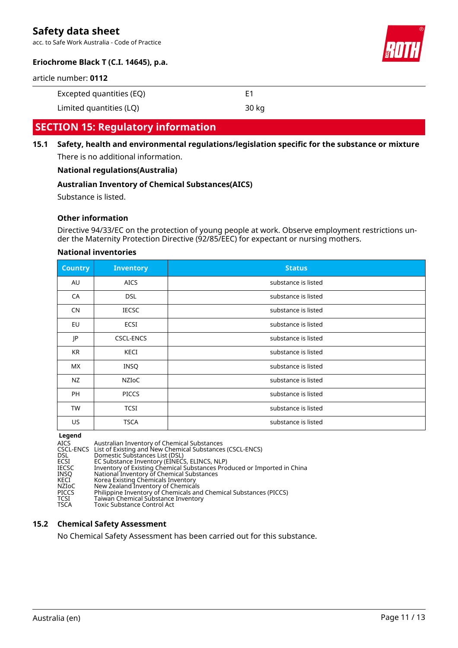acc. to Safe Work Australia - Code of Practice



### **Eriochrome Black T (C.I. 14645), p.a.**

article number: **0112**

| Excepted quantities (EQ) |  |
|--------------------------|--|
|                          |  |

Limited quantities (LQ) 30 kg

## **SECTION 15: Regulatory information**

**15.1 Safety, health and environmental regulations/legislation specific for the substance or mixture** There is no additional information.

#### **National regulations(Australia)**

#### **Australian Inventory of Chemical Substances(AICS)**

Substance is listed.

#### **Other information**

Directive 94/33/EC on the protection of young people at work. Observe employment restrictions under the Maternity Protection Directive (92/85/EEC) for expectant or nursing mothers.

#### **National inventories**

| <b>Country</b> | <b>Inventory</b> | <b>Status</b>       |
|----------------|------------------|---------------------|
| AU             | <b>AICS</b>      | substance is listed |
| CA             | <b>DSL</b>       | substance is listed |
| <b>CN</b>      | <b>IECSC</b>     | substance is listed |
| EU             | ECSI             | substance is listed |
| JP             | <b>CSCL-ENCS</b> | substance is listed |
| KR             | KECI             | substance is listed |
| <b>MX</b>      | <b>INSQ</b>      | substance is listed |
| NZ             | NZIOC            | substance is listed |
| <b>PH</b>      | <b>PICCS</b>     | substance is listed |
| <b>TW</b>      | <b>TCSI</b>      | substance is listed |
| US             | <b>TSCA</b>      | substance is listed |

#### **Legend**

AICS Australian Inventory of Chemical Substances CSCL-ENCS List of Existing and New Chemical Substances (CSCL-ENCS) DSL Domestic Substances List (DSL) ECSI EC Substance Inventory (EINECS, ELINCS, NLP) IECSC Inventory of Existing Chemical Substances Produced or Imported in China INSQ National Inventory of Chemical Substances KECI Korea Existing Chemicals Inventory NZIoC New Zealand Inventory of Chemicals PICCS Philippine Inventory of Chemicals and Chemical Substances (PICCS) TCSI Taiwan Chemical Substance Inventory<br>TSCA Toxic Substance Control Act Toxic Substance Control Act

#### **15.2 Chemical Safety Assessment**

No Chemical Safety Assessment has been carried out for this substance.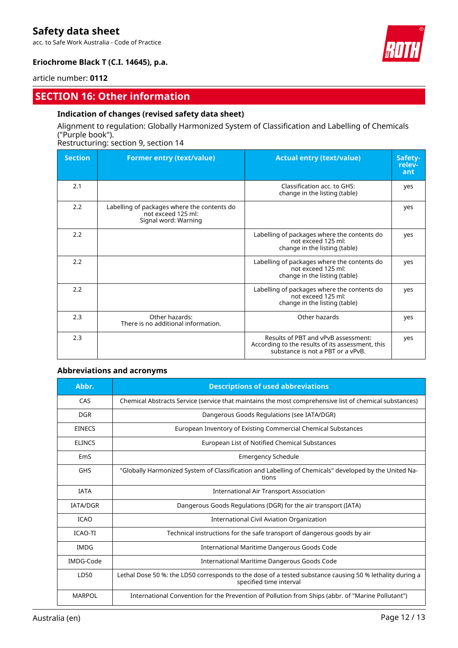acc. to Safe Work Australia - Code of Practice



### **Eriochrome Black T (C.I. 14645), p.a.**

article number: **0112**

## **SECTION 16: Other information**

#### **Indication of changes (revised safety data sheet)**

### Alignment to regulation: Globally Harmonized System of Classification and Labelling of Chemicals ("Purple book").

Restructuring: section 9, section 14

| <b>Section</b> | <b>Former entry (text/value)</b>                                                          | <b>Actual entry (text/value)</b>                                                                                             | Safety-<br>relev-<br>ant |
|----------------|-------------------------------------------------------------------------------------------|------------------------------------------------------------------------------------------------------------------------------|--------------------------|
| 2.1            |                                                                                           | Classification acc. to GHS:<br>change in the listing (table)                                                                 | yes                      |
| 2.2            | Labelling of packages where the contents do<br>not exceed 125 ml:<br>Signal word: Warning |                                                                                                                              | yes                      |
| 2.2            |                                                                                           | Labelling of packages where the contents do<br>not exceed 125 ml:<br>change in the listing (table)                           | yes                      |
| 2.2            |                                                                                           | Labelling of packages where the contents do<br>not exceed 125 ml:<br>change in the listing (table)                           | yes                      |
| 2.2            |                                                                                           | Labelling of packages where the contents do<br>not exceed 125 ml:<br>change in the listing (table)                           | yes                      |
| 2.3            | Other hazards:<br>There is no additional information.                                     | Other hazards                                                                                                                | yes                      |
| 2.3            |                                                                                           | Results of PBT and vPvB assessment:<br>According to the results of its assessment, this<br>substance is not a PBT or a vPvB. | yes                      |

#### **Abbreviations and acronyms**

| Abbr.           | <b>Descriptions of used abbreviations</b>                                                                                           |
|-----------------|-------------------------------------------------------------------------------------------------------------------------------------|
| CAS             | Chemical Abstracts Service (service that maintains the most comprehensive list of chemical substances)                              |
| <b>DGR</b>      | Dangerous Goods Regulations (see IATA/DGR)                                                                                          |
| <b>EINECS</b>   | European Inventory of Existing Commercial Chemical Substances                                                                       |
| <b>ELINCS</b>   | European List of Notified Chemical Substances                                                                                       |
| EmS             | <b>Emergency Schedule</b>                                                                                                           |
| <b>GHS</b>      | "Globally Harmonized System of Classification and Labelling of Chemicals" developed by the United Na-<br>tions                      |
| <b>IATA</b>     | International Air Transport Association                                                                                             |
| <b>IATA/DGR</b> | Dangerous Goods Regulations (DGR) for the air transport (IATA)                                                                      |
| <b>ICAO</b>     | International Civil Aviation Organization                                                                                           |
| <b>ICAO-TI</b>  | Technical instructions for the safe transport of dangerous goods by air                                                             |
| IMDG            | International Maritime Dangerous Goods Code                                                                                         |
| IMDG-Code       | International Maritime Dangerous Goods Code                                                                                         |
| LD50            | Lethal Dose 50 %: the LD50 corresponds to the dose of a tested substance causing 50 % lethality during a<br>specified time interval |
| <b>MARPOL</b>   | International Convention for the Prevention of Pollution from Ships (abbr. of "Marine Pollutant")                                   |